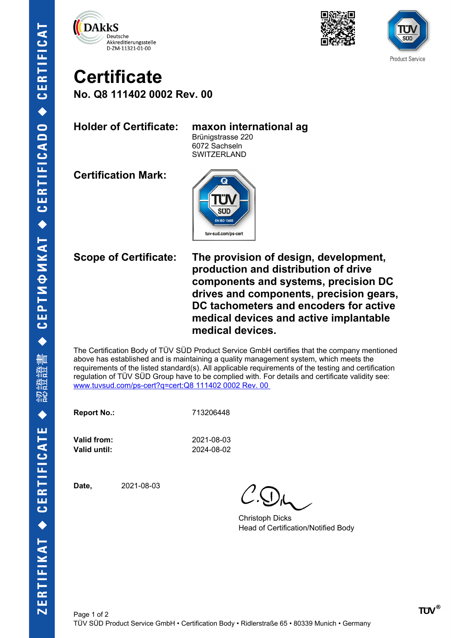





## **Certificate No. Q8 111402 0002 Rev. 00**

## **Holder of Certificate: maxon international ag**

Brünigstrasse 220 6072 Sachseln **SWITZERLAND** 

**Certification Mark:**



**Scope of Certificate: The provision of design, development, production and distribution of drive components and systems, precision DC drives and components, precision gears, DC tachometers and encoders for active medical devices and active implantable medical devices.**

The Certification Body of TÜV SÜD Product Service GmbH certifies that the company mentioned above has established and is maintaining a quality management system, which meets the requirements of the listed standard(s). All applicable requirements of the testing and certification regulation of TÜV SÜD Group have to be complied with. For details and certificate validity see: [www.tuvsud.com/ps-cert?q=cert:Q8 111402 0002 Rev. 00](http://www.tuvsud.com/ps-cert?q=cert:Q8%20111402%200002%20Rev.%2000%C2%A0) 

**Report No.:** 713206448

**Valid from:** 2021-08-03 **Valid until:** 2024-08-02

**Date,** 2021-08-03

Christoph Dicks Head of Certification/Notified Body